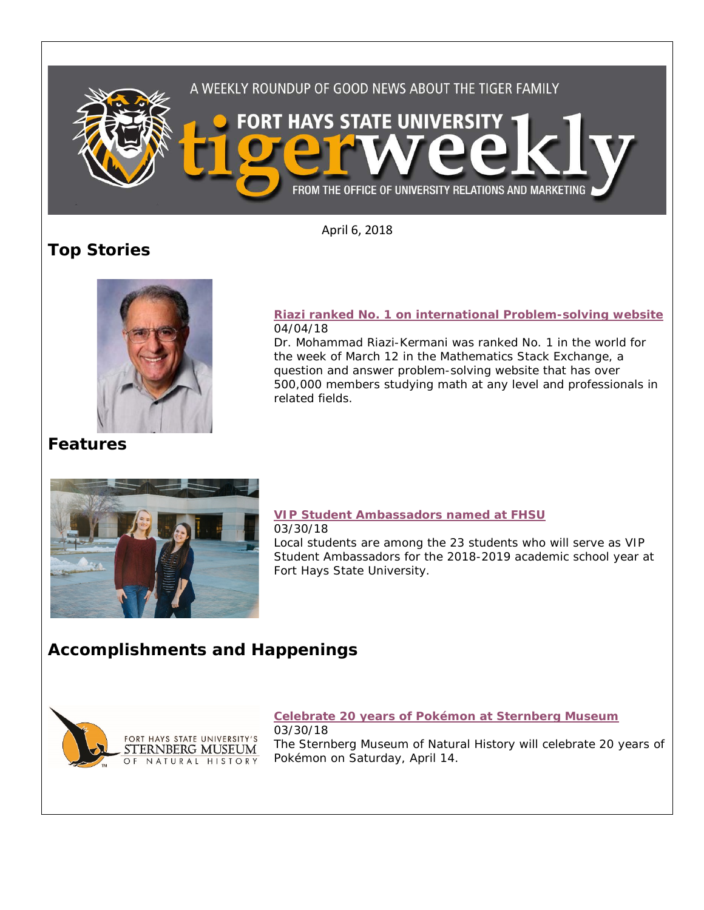

April 6, 2018

# **Top Stories**



#### **[Riazi ranked No. 1 on international Problem-solving website](https://www.fhsu.edu/news/2018/04/riazi-ranked-no.-1-on-international-problem-solving-website.html)** 04/04/18

Dr. Mohammad Riazi-Kermani was ranked No. 1 in the world for the week of March 12 in the Mathematics Stack Exchange, a question and answer problem-solving website that has over 500,000 members studying math at any level and professionals in related fields.

## **Features**



#### **[VIP Student Ambassadors named at FHSU](https://www.fhsu.edu/news/2018/03/vip-student-ambassadors-named-at-fhsu.html)** 03/30/18

Local students are among the 23 students who will serve as VIP Student Ambassadors for the 2018-2019 academic school year at Fort Hays State University.

## **Accomplishments and Happenings**



### **[Celebrate 20 years of Pokémon at Sternberg Museum](https://www.fhsu.edu/news/2018/03/celebrate-20-years-of-pok%C3%A9mon-at-sternberg-museum.html)**

03/30/18 The Sternberg Museum of Natural History will celebrate 20 years of Pokémon on Saturday, April 14.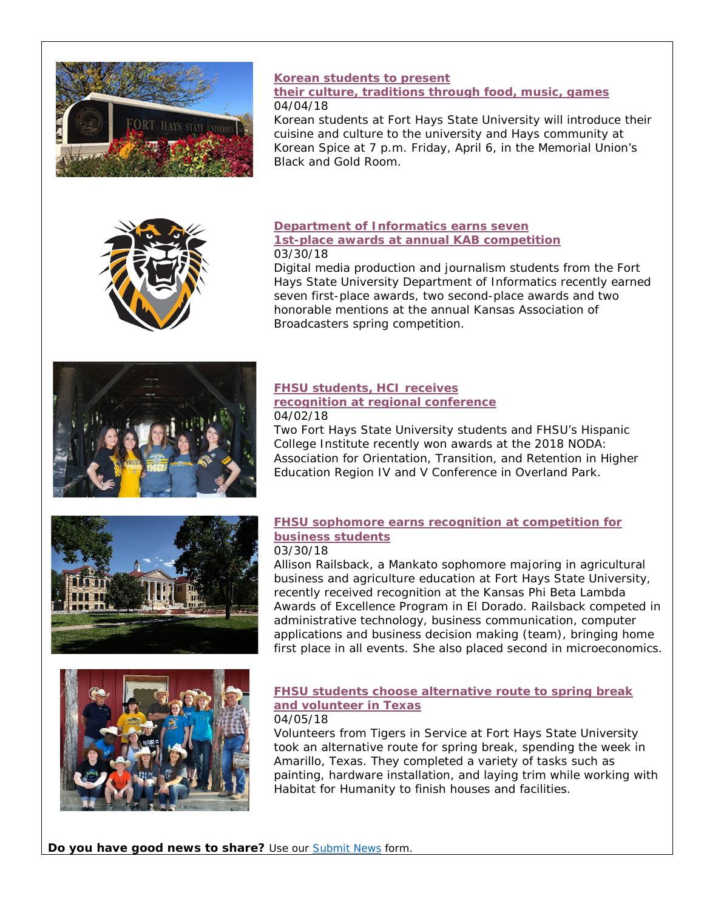

## **[Korean students to present](https://www.fhsu.edu/news/2018/04/korean-students-to-present-their-culture,-traditions-through-food,-music,-games.html)**

#### **[their culture, traditions through food, music, games](https://www.fhsu.edu/news/2018/04/korean-students-to-present-their-culture,-traditions-through-food,-music,-games.html)** 04/04/18

Korean students at Fort Hays State University will introduce their cuisine and culture to the university and Hays community at Korean Spice at 7 p.m. Friday, April 6, in the Memorial Union's Black and Gold Room.



#### **[Department of Informatics earns seven](https://fhsu.edu/news/2018/03/department-of-informatics-earns-seven-1st-place-awards-at-annual-kab-competition.html)  [1st-place awards at annual KAB competition](https://fhsu.edu/news/2018/03/department-of-informatics-earns-seven-1st-place-awards-at-annual-kab-competition.html)** 03/30/18

Digital media production and journalism students from the Fort Hays State University Department of Informatics recently earned seven first-place awards, two second-place awards and two honorable mentions at the annual Kansas Association of Broadcasters spring competition.



#### **[FHSU students, HCI receives](https://www.fhsu.edu/news/2018/04/fhsu-students,-hci-receives-recognition-at-regional-conference.html)  [recognition at regional conference](https://www.fhsu.edu/news/2018/04/fhsu-students,-hci-receives-recognition-at-regional-conference.html)** 04/02/18

Two Fort Hays State University students and FHSU's Hispanic College Institute recently won awards at the 2018 NODA: Association for Orientation, Transition, and Retention in Higher Education Region IV and V Conference in Overland Park.



#### **[FHSU sophomore earns recognition at competition for](https://www.fhsu.edu/news/2018/03/fhsu-sophomore-earns-recognition-at-competition-for-business-students.html)  [business students](https://www.fhsu.edu/news/2018/03/fhsu-sophomore-earns-recognition-at-competition-for-business-students.html)** 03/30/18

Allison Railsback, a Mankato sophomore majoring in agricultural business and agriculture education at Fort Hays State University, recently received recognition at the Kansas Phi Beta Lambda Awards of Excellence Program in El Dorado. Railsback competed in administrative technology, business communication, computer applications and business decision making (team), bringing home first place in all events. She also placed second in microeconomics.



## **[FHSU students choose alternative route to spring break](https://www.fhsu.edu/news/2018/04/fhsu-students-choose-alternative-route-to-spring-break-and-volunteer-in-texas.html)  [and volunteer in Texas](https://www.fhsu.edu/news/2018/04/fhsu-students-choose-alternative-route-to-spring-break-and-volunteer-in-texas.html)**

### 04/05/18

Volunteers from Tigers in Service at Fort Hays State University took an alternative route for spring break, spending the week in Amarillo, Texas. They completed a variety of tasks such as painting, hardware installation, and laying trim while working with Habitat for Humanity to finish houses and facilities.